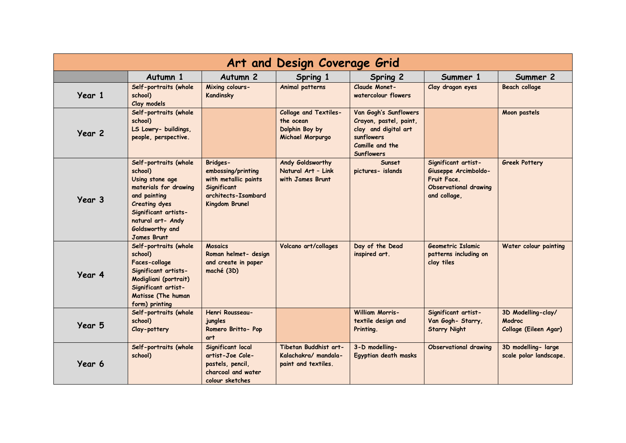| Art and Design Coverage Grid |                                                                                                                                                                                                            |                                                                                                                              |                                                                                 |                                                                                                                               |                                                                                                     |                                                       |  |  |  |  |
|------------------------------|------------------------------------------------------------------------------------------------------------------------------------------------------------------------------------------------------------|------------------------------------------------------------------------------------------------------------------------------|---------------------------------------------------------------------------------|-------------------------------------------------------------------------------------------------------------------------------|-----------------------------------------------------------------------------------------------------|-------------------------------------------------------|--|--|--|--|
|                              | Autumn 1                                                                                                                                                                                                   | Autumn <sub>2</sub>                                                                                                          | Spring 1                                                                        | Spring 2                                                                                                                      | Summer 1                                                                                            | Summer 2                                              |  |  |  |  |
| Year 1                       | Self-portraits (whole<br>school)<br>Clay models                                                                                                                                                            | Mixing colours-<br>Kandinsky                                                                                                 | Animal patterns                                                                 | Claude Monet-<br>watercolour flowers                                                                                          | Clay dragon eyes                                                                                    | <b>Beach collage</b>                                  |  |  |  |  |
| Year 2                       | Self-portraits (whole<br>school)<br>LS Lowry- buildings,<br>people, perspective.                                                                                                                           |                                                                                                                              | <b>Collage and Textiles-</b><br>the ocean<br>Dolphin Boy by<br>Michael Morpurgo | Van Gogh's Sunflowers<br>Crayon, pastel, paint,<br>clay and digital art<br>sunflowers<br>Camille and the<br><b>Sunflowers</b> |                                                                                                     | Moon pastels                                          |  |  |  |  |
| Year 3                       | Self-portraits (whole<br>school)<br>Using stone age<br>materials for drawing<br>and painting<br><b>Creating dyes</b><br>Significant artists-<br>natural art- Andy<br>Goldsworthy and<br><b>James Brunt</b> | <b>Bridges-</b><br>embossing/printing<br>with metallic paints<br>Significant<br>architects-Isambard<br><b>Kingdom Brunel</b> | Andy Goldsworthy<br>Natural Art - Link<br>with James Brunt                      | Sunset<br>pictures- islands                                                                                                   | Significant artist-<br>Giuseppe Arcimboldo-<br>Fruit Face.<br>Observational drawing<br>and collage, | <b>Greek Pottery</b>                                  |  |  |  |  |
| Year 4                       | Self-portraits (whole<br>school)<br>Faces-collage<br>Significant artists-<br>Modigliani (portrait)<br>Significant artist-<br>Matisse (The human<br>form) printing                                          | <b>Mosaics</b><br>Roman helmet- design<br>and create in paper<br>maché (3D)                                                  | Volcano art/collages                                                            | Day of the Dead<br>inspired art.                                                                                              | Geometric Islamic<br>patterns including on<br>clay tiles                                            | Water colour painting                                 |  |  |  |  |
| Year 5                       | Self-portraits (whole<br>school)<br>Clay-pottery                                                                                                                                                           | Henri Rousseau-<br>jungles<br>Romero Britto- Pop<br>art                                                                      |                                                                                 | <b>William Morris-</b><br>textile design and<br>Printing.                                                                     | Significant artist-<br>Van Gogh- Starry,<br><b>Starry Night</b>                                     | 3D Modelling-clay/<br>Modroc<br>Collage (Eileen Agar) |  |  |  |  |
| Year 6                       | Self-portraits (whole<br>school)                                                                                                                                                                           | Significant local<br>artist-Joe Cole-<br>pastels, pencil,<br>charcoal and water<br>colour sketches                           | Tibetan Buddhist art-<br>Kalachakra/mandala-<br>paint and textiles.             | 3-D modelling-<br>Egyptian death masks                                                                                        | <b>Observational drawing</b>                                                                        | 3D modelling-large<br>scale polar landscape.          |  |  |  |  |